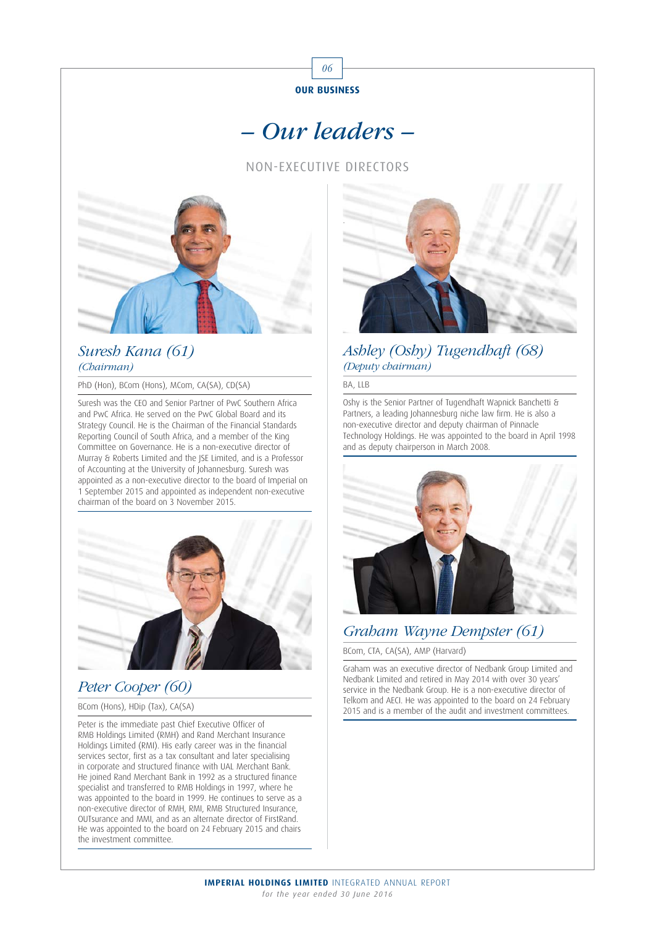

# – Our leaders –

NON-EXECUTIVE DIRECTORS



### Suresh Kana (61) (Chairman)

PhD (Hon), BCom (Hons), MCom, CA(SA), CD(SA)

Suresh was the CEO and Senior Partner of PwC Southern Africa and PwC Africa. He served on the PwC Global Board and its Strategy Council. He is the Chairman of the Financial Standards Reporting Council of South Africa, and a member of the King Committee on Governance. He is a non-executive director of Murray & Roberts Limited and the JSE Limited, and is a Professor of Accounting at the University of Johannesburg. Suresh was appointed as a non-executive director to the board of Imperial on 1 September 2015 and appointed as independent non-executive chairman of the board on 3 November 2015.



## Peter Cooper (60)

#### BCom (Hons), HDip (Tax), CA(SA)

Peter is the immediate past Chief Executive Officer of RMB Holdings Limited (RMH) and Rand Merchant Insurance Holdings Limited (RMI). His early career was in the financial services sector, first as a tax consultant and later specialising in corporate and structured finance with UAL Merchant Bank. He joined Rand Merchant Bank in 1992 as a structured finance specialist and transferred to RMB Holdings in 1997, where he was appointed to the board in 1999. He continues to serve as a non-executive director of RMH, RMI, RMB Structured Insurance, OUTsurance and MMI, and as an alternate director of FirstRand. He was appointed to the board on 24 February 2015 and chairs the investment committee.



### Ashley (Oshy) Tugendhaft (68) (Deputy chairman)

#### BA, LLB

Oshy is the Senior Partner of Tugendhaft Wapnick Banchetti & Partners, a leading Johannesburg niche law firm. He is also a non-executive director and deputy chairman of Pinnacle Technology Holdings. He was appointed to the board in April 1998 and as deputy chairperson in March 2008.



## Graham Wayne Dempster (61)

BCom, CTA, CA(SA), AMP (Harvard)

Graham was an executive director of Nedbank Group Limited and Nedbank Limited and retired in May 2014 with over 30 years' service in the Nedbank Group. He is a non-executive director of Telkom and AECI. He was appointed to the board on 24 February 2015 and is a member of the audit and investment committees.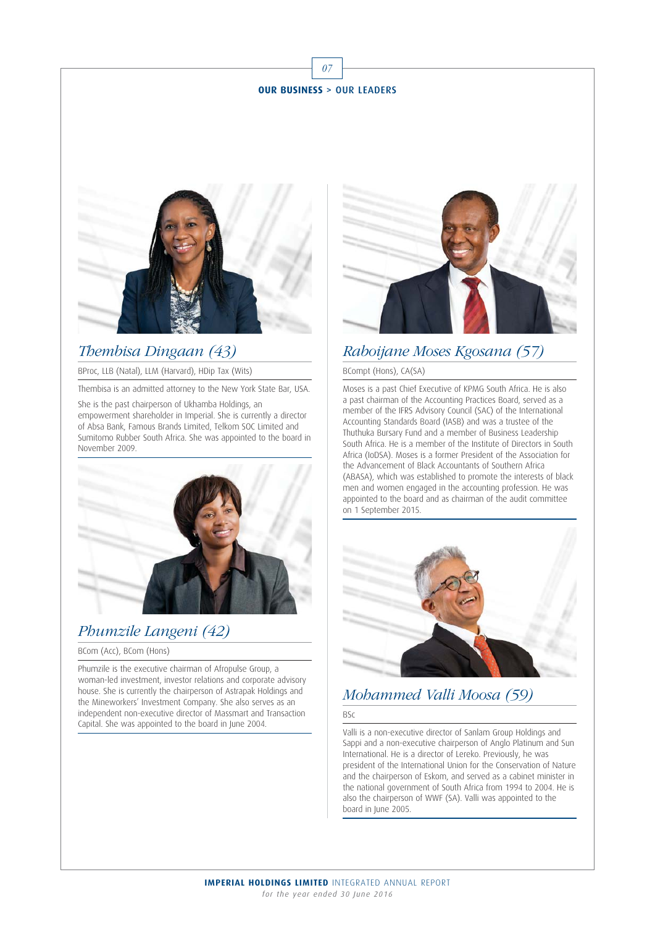07



### Thembisa Dingaan (43)

BProc, LLB (Natal), LLM (Harvard), HDip Tax (Wits)

Thembisa is an admitted attorney to the New York State Bar, USA.

She is the past chairperson of Ukhamba Holdings, an empowerment shareholder in Imperial. She is currently a director of Absa Bank, Famous Brands Limited, Telkom SOC Limited and Sumitomo Rubber South Africa. She was appointed to the board in November 2009.



### Phumzile Langeni (42)

BCom (Acc), BCom (Hons)

Phumzile is the executive chairman of Afropulse Group, a woman-led investment, investor relations and corporate advisory house. She is currently the chairperson of Astrapak Holdings and the Mineworkers' Investment Company. She also serves as an independent non-executive director of Massmart and Transaction Capital. She was appointed to the board in June 2004.



### Raboijane Moses Kgosana (57)

#### BCompt (Hons), CA(SA)

Moses is a past Chief Executive of KPMG South Africa. He is also a past chairman of the Accounting Practices Board, served as a member of the IFRS Advisory Council (SAC) of the International Accounting Standards Board (IASB) and was a trustee of the Thuthuka Bursary Fund and a member of Business Leadership South Africa. He is a member of the Institute of Directors in South Africa (IoDSA). Moses is a former President of the Association for the Advancement of Black Accountants of Southern Africa (ABASA), which was established to promote the interests of black men and women engaged in the accounting profession. He was appointed to the board and as chairman of the audit committee on 1 September 2015.



## Mohammed Valli Moosa (59)

#### BSc

Valli is a non-executive director of Sanlam Group Holdings and Sappi and a non-executive chairperson of Anglo Platinum and Sun International. He is a director of Lereko. Previously, he was president of the International Union for the Conservation of Nature and the chairperson of Eskom, and served as a cabinet minister in the national government of South Africa from 1994 to 2004. He is also the chairperson of WWF (SA). Valli was appointed to the board in June 2005.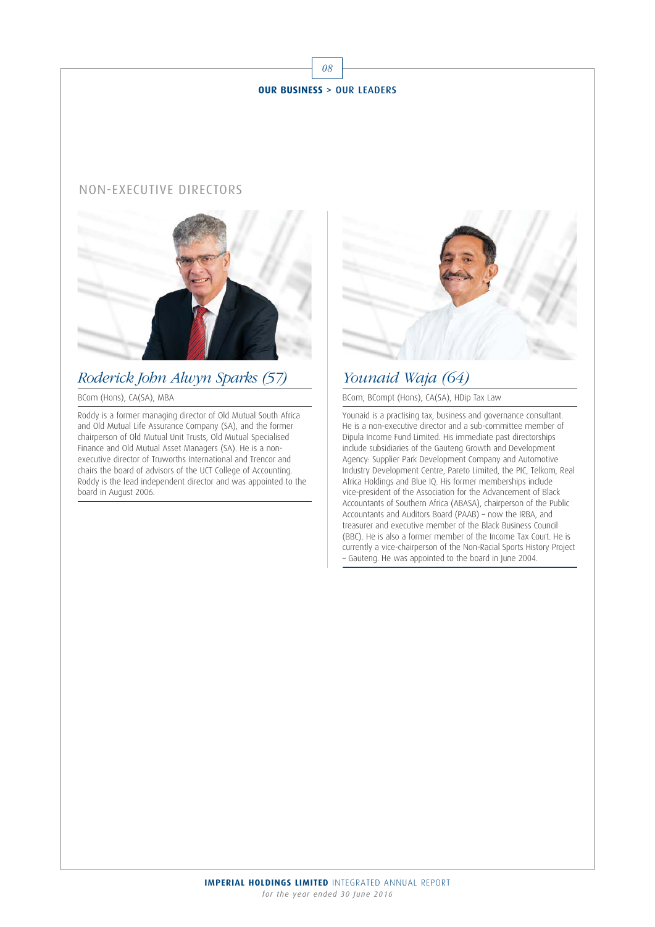

### NON-EXECUTIVE DIRECTORS



## Roderick John Alwyn Sparks (57)

#### BCom (Hons), CA(SA), MBA

Roddy is a former managing director of Old Mutual South Africa and Old Mutual Life Assurance Company (SA), and the former chairperson of Old Mutual Unit Trusts, Old Mutual Specialised Finance and Old Mutual Asset Managers (SA). He is a nonexecutive director of Truworths International and Trencor and chairs the board of advisors of the UCT College of Accounting. Roddy is the lead independent director and was appointed to the board in August 2006.



## Younaid Waja (64)

BCom, BCompt (Hons), CA(SA), HDip Tax Law

Younaid is a practising tax, business and governance consultant. He is a non-executive director and a sub-committee member of Dipula Income Fund Limited. His immediate past directorships include subsidiaries of the Gauteng Growth and Development Agency: Supplier Park Development Company and Automotive Industry Development Centre, Pareto Limited, the PIC, Telkom, Real Africa Holdings and Blue IQ. His former memberships include vice-president of the Association for the Advancement of Black Accountants of Southern Africa (ABASA), chairperson of the Public Accountants and Auditors Board (PAAB) – now the IRBA, and treasurer and executive member of the Black Business Council (BBC). He is also a former member of the Income Tax Court. He is currently a vice-chairperson of the Non-Racial Sports History Project – Gauteng. He was appointed to the board in June 2004.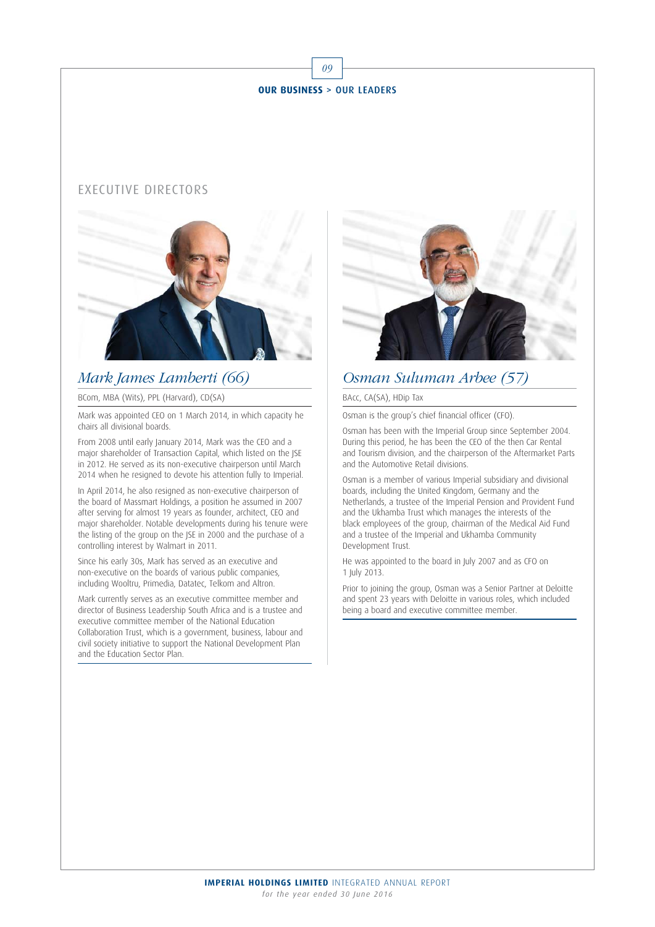### EXECUTIVE DIRECTORS



### Mark James Lamberti (66)

BCom, MBA (Wits), PPL (Harvard), CD(SA)

Mark was appointed CEO on 1 March 2014, in which capacity he chairs all divisional boards.

From 2008 until early January 2014, Mark was the CEO and a major shareholder of Transaction Capital, which listed on the JSE in 2012. He served as its non-executive chairperson until March 2014 when he resigned to devote his attention fully to Imperial.

In April 2014, he also resigned as non-executive chairperson of the board of Massmart Holdings, a position he assumed in 2007 after serving for almost 19 years as founder, architect, CEO and major shareholder. Notable developments during his tenure were the listing of the group on the JSE in 2000 and the purchase of a controlling interest by Walmart in 2011.

Since his early 30s, Mark has served as an executive and non-executive on the boards of various public companies, including Wooltru, Primedia, Datatec, Telkom and Altron.

Mark currently serves as an executive committee member and director of Business Leadership South Africa and is a trustee and executive committee member of the National Education Collaboration Trust, which is a government, business, labour and civil society initiative to support the National Development Plan and the Education Sector Plan.



### Osman Suluman Arbee (57)

BAcc, CA(SA), HDip Tax

Osman is the group's chief financial officer (CFO).

Osman has been with the Imperial Group since September 2004. During this period, he has been the CEO of the then Car Rental and Tourism division, and the chairperson of the Aftermarket Parts and the Automotive Retail divisions.

Osman is a member of various Imperial subsidiary and divisional boards, including the United Kingdom, Germany and the Netherlands, a trustee of the Imperial Pension and Provident Fund and the Ukhamba Trust which manages the interests of the black employees of the group, chairman of the Medical Aid Fund and a trustee of the Imperial and Ukhamba Community Development Trust.

He was appointed to the board in July 2007 and as CFO on 1 July 2013.

Prior to joining the group, Osman was a Senior Partner at Deloitte and spent 23 years with Deloitte in various roles, which included being a board and executive committee member.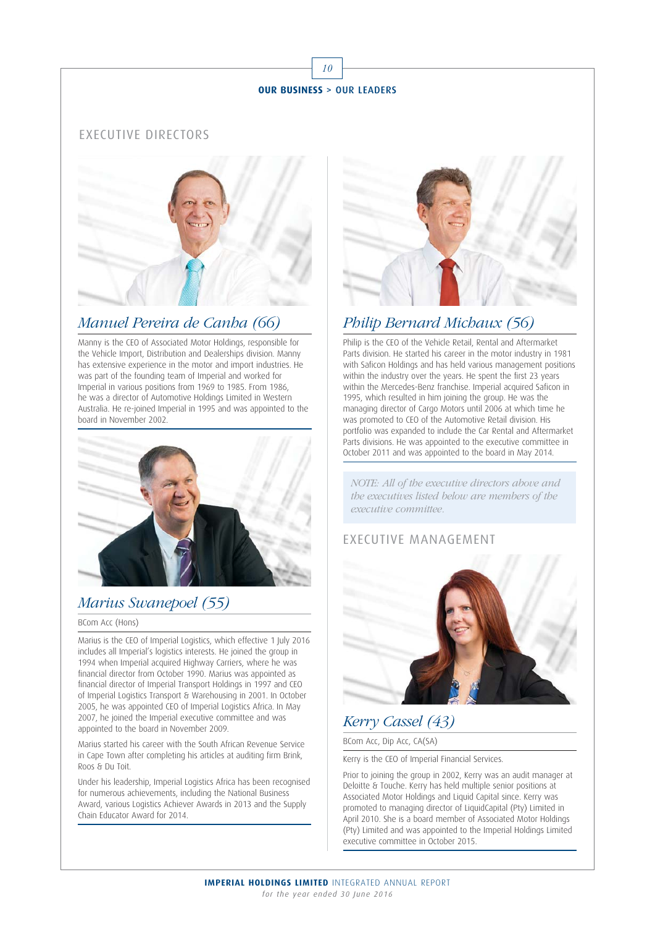10

### EXECUTIVE DIRECTORS



### Manuel Pereira de Canha (66)

Manny is the CEO of Associated Motor Holdings, responsible for the Vehicle Import, Distribution and Dealerships division. Manny has extensive experience in the motor and import industries. He was part of the founding team of Imperial and worked for Imperial in various positions from 1969 to 1985. From 1986, he was a director of Automotive Holdings Limited in Western Australia. He re-joined Imperial in 1995 and was appointed to the board in November 2002.



## Marius Swanepoel (55)

#### BCom Acc (Hons)

Marius is the CEO of Imperial Logistics, which effective 1 July 2016 includes all Imperial's logistics interests. He joined the group in 1994 when Imperial acquired Highway Carriers, where he was financial director from October 1990. Marius was appointed as financial director of Imperial Transport Holdings in 1997 and CEO of Imperial Logistics Transport & Warehousing in 2001. In October 2005, he was appointed CEO of Imperial Logistics Africa. In May 2007, he joined the Imperial executive committee and was appointed to the board in November 2009.

Marius started his career with the South African Revenue Service in Cape Town after completing his articles at auditing firm Brink, Roos & Du Toit.

Under his leadership, Imperial Logistics Africa has been recognised for numerous achievements, including the National Business Award, various Logistics Achiever Awards in 2013 and the Supply Chain Educator Award for 2014.



## Philip Bernard Michaux (56)

Philip is the CEO of the Vehicle Retail, Rental and Aftermarket Parts division. He started his career in the motor industry in 1981 with Saficon Holdings and has held various management positions within the industry over the years. He spent the first 23 years within the Mercedes-Benz franchise. Imperial acquired Saficon in 1995, which resulted in him joining the group. He was the managing director of Cargo Motors until 2006 at which time he was promoted to CEO of the Automotive Retail division. His portfolio was expanded to include the Car Rental and Aftermarket Parts divisions. He was appointed to the executive committee in October 2011 and was appointed to the board in May 2014.

NOTE: All of the executive directors above and the executives listed below are members of the executive committee.

### EXECUTIVE MANAGEMENT



# Kerry Cassel (43)

BCom Acc, Dip Acc, CA(SA)

Kerry is the CEO of Imperial Financial Services.

Prior to joining the group in 2002, Kerry was an audit manager at Deloitte & Touche. Kerry has held multiple senior positions at Associated Motor Holdings and Liquid Capital since. Kerry was promoted to managing director of LiquidCapital (Pty) Limited in April 2010. She is a board member of Associated Motor Holdings (Pty) Limited and was appointed to the Imperial Holdings Limited executive committee in October 2015.